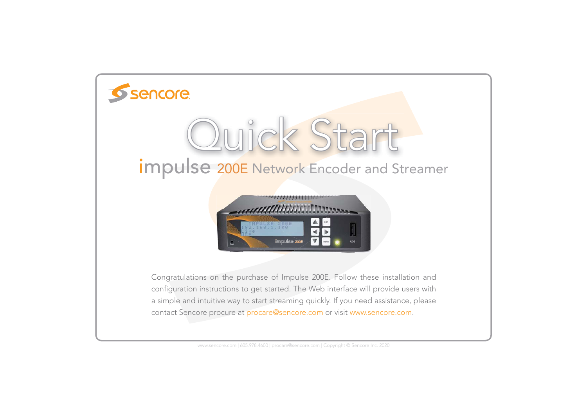

www.sencore.com | 605.978.4600 | procare@sencore.com | Copyright © Sencore Inc. 2020